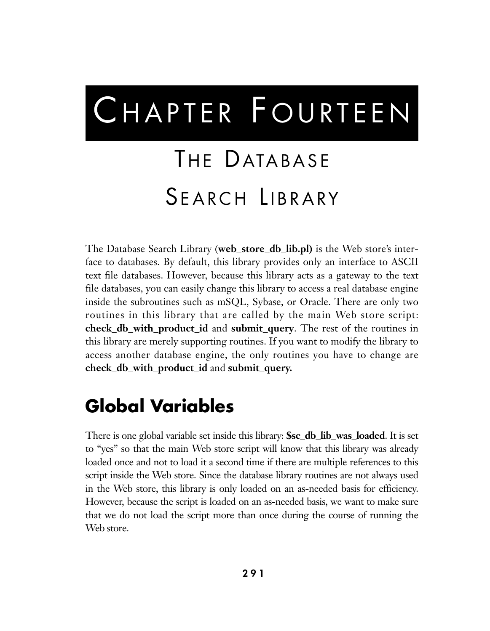# CHAPTER FOURTEEN

## THE DATABASE SEARCH LIBRARY

The Database Search Library (**web\_store\_db\_lib.pl)** is the Web store's interface to databases. By default, this library provides only an interface to ASCII text file databases. However, because this library acts as a gateway to the text file databases, you can easily change this library to access a real database engine inside the subroutines such as mSQL, Sybase, or Oracle. There are only two routines in this library that are called by the main Web store script: **check\_db\_with\_product\_id** and **submit\_query**. The rest of the routines in this library are merely supporting routines. If you want to modify the library to access another database engine, the only routines you have to change are **check\_db\_with\_product\_id** and **submit\_query.**

## **Global Variables**

There is one global variable set inside this library: **\$sc\_db\_lib\_was\_loaded**. It is set to "yes" so that the main Web store script will know that this library was already loaded once and not to load it a second time if there are multiple references to this script inside the Web store. Since the database library routines are not always used in the Web store, this library is only loaded on an as-needed basis for efficiency. However, because the script is loaded on an as-needed basis, we want to make sure that we do not load the script more than once during the course of running the Web store.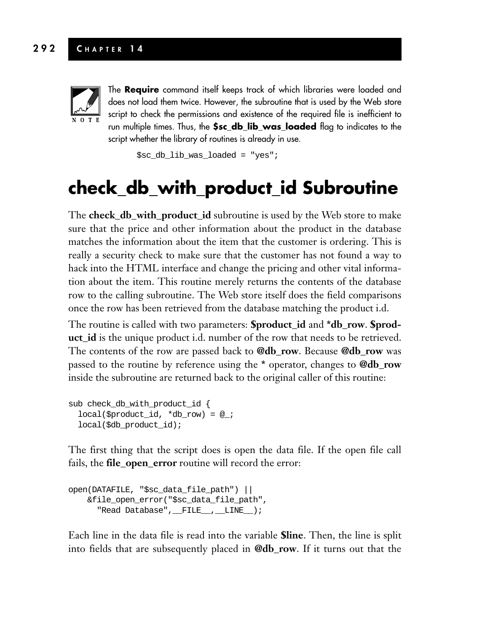#### **292 C HAPTER 1 4**



The **Require** command itself keeps track of which libraries were loaded and does not load them twice. However, the subroutine that is used by the Web store script to check the permissions and existence of the required file is inefficient to run multiple times. Thus, the **\$sc\_db\_lib\_was\_loaded** flag to indicates to the script whether the library of routines is already in use.

\$sc db lib was loaded = "yes";

## **check\_db\_with\_product\_id Subroutine**

The **check\_db\_with\_product\_id** subroutine is used by the Web store to make sure that the price and other information about the product in the database matches the information about the item that the customer is ordering. This is really a security check to make sure that the customer has not found a way to hack into the HTML interface and change the pricing and other vital information about the item. This routine merely returns the contents of the database row to the calling subroutine. The Web store itself does the field comparisons once the row has been retrieved from the database matching the product i.d.

The routine is called with two parameters: **\$product\_id** and **\*db\_row**. **\$product\_id** is the unique product i.d. number of the row that needs to be retrieved. The contents of the row are passed back to **@db\_row**. Because **@db\_row** was passed to the routine by reference using the **\*** operator, changes to **@db\_row** inside the subroutine are returned back to the original caller of this routine:

```
sub check_db_with_product_id {
  local($product_id, *db_row) = @_;
 local($db_product_id);
```
The first thing that the script does is open the data file. If the open file call fails, the **file\_open\_error** routine will record the error:

```
open(DATAFILE, "$sc_data_file_path") ||
   &file_open_error("$sc_data_file_path",
      "Read Database", FILE_, LINE_);
```
Each line in the data file is read into the variable **\$line**. Then, the line is split into fields that are subsequently placed in **@db\_row**. If it turns out that the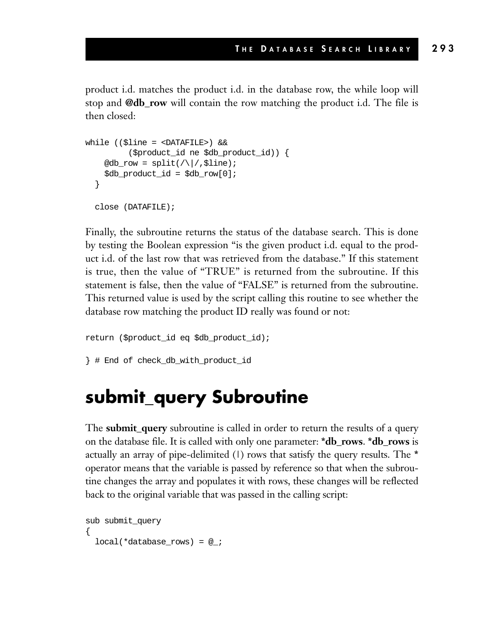product i.d. matches the product i.d. in the database row, the while loop will stop and **@db\_row** will contain the row matching the product i.d. The file is then closed:

```
while (($line = <DATAFILE>) &&
         ($product_id ne $db_product_id)) {
    @db_row = split://|.5line);$db_product_id = $db_row[0];
  }
  close (DATAFILE);
```
Finally, the subroutine returns the status of the database search. This is done by testing the Boolean expression "is the given product i.d. equal to the product i.d. of the last row that was retrieved from the database." If this statement is true, then the value of "TRUE" is returned from the subroutine. If this statement is false, then the value of "FALSE" is returned from the subroutine. This returned value is used by the script calling this routine to see whether the database row matching the product ID really was found or not:

```
return ($product_id eq $db_product_id);
```

```
} # End of check_db_with_product_id
```
## **submit\_query Subroutine**

The **submit\_query** subroutine is called in order to return the results of a query on the database file. It is called with only one parameter: **\*db\_rows**. **\*db\_rows** is actually an array of pipe-delimited (|) rows that satisfy the query results. The **\*** operator means that the variable is passed by reference so that when the subroutine changes the array and populates it with rows, these changes will be reflected back to the original variable that was passed in the calling script:

```
sub submit_query
{
 local(*databaserows) = @;;
```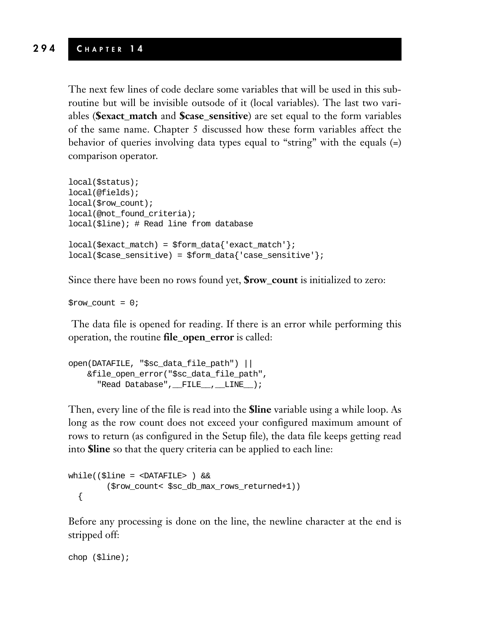#### **294 C HAPTER 1 4**

The next few lines of code declare some variables that will be used in this subroutine but will be invisible outsode of it (local variables). The last two variables (**\$exact\_match** and **\$case\_sensitive**) are set equal to the form variables of the same name. Chapter 5 discussed how these form variables affect the behavior of queries involving data types equal to "string" with the equals (=) comparison operator.

```
local($status);
local(@fields);
local($row_count);
local(@not_found_criteria);
local($line); # Read line from database
local($exact_match) = $form_data{'exact_match'};
local(\$case\_sensitive) = $form\_data{'case\_sensitive'}};
```
Since there have been no rows found yet, **\$row\_count** is initialized to zero:

 $$row_count = 0;$ 

The data file is opened for reading. If there is an error while performing this operation, the routine **file\_open\_error** is called:

```
open(DATAFILE, "$sc_data_file_path") ||
   &file_open_error("$sc_data_file_path",
     "Read Database", FILE_, LINE_);
```
Then, every line of the file is read into the **\$line** variable using a while loop. As long as the row count does not exceed your configured maximum amount of rows to return (as configured in the Setup file), the data file keeps getting read into **\$line** so that the query criteria can be applied to each line:

```
while(($line = <DATAFILE> ) &&
        ($row_count< $sc_db_max_rows_returned+1))
  {
```
Before any processing is done on the line, the newline character at the end is stripped off:

```
chop ($line);
```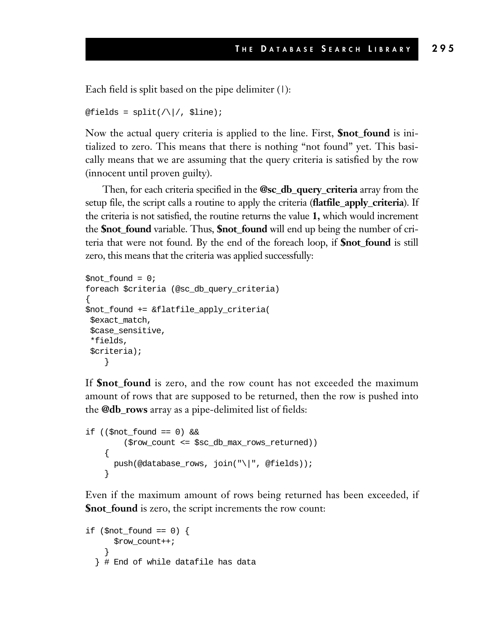Each field is split based on the pipe delimiter  $(1)$ :

```
\text{@fields} = \text{split}( / \backslash / /, $line);
```
Now the actual query criteria is applied to the line. First, **\$not\_found** is initialized to zero. This means that there is nothing "not found" yet. This basically means that we are assuming that the query criteria is satisfied by the row (innocent until proven guilty).

Then, for each criteria specified in the **@sc\_db\_query\_criteria** array from the setup file, the script calls a routine to apply the criteria (**flatfile\_apply\_criteria**). If the criteria is not satisfied, the routine returns the value **1,** which would increment the **\$not\_found** variable. Thus, **\$not\_found** will end up being the number of criteria that were not found. By the end of the foreach loop, if **\$not\_found** is still zero, this means that the criteria was applied successfully:

```
$not_found = 0;
foreach $criteria (@sc_db_query_criteria)
{
$not_found += &flatfile_apply_criteria(
$exact_match,
$case_sensitive,
*fields,
$criteria);
    }
```
If **\$not\_found** is zero, and the row count has not exceeded the maximum amount of rows that are supposed to be returned, then the row is pushed into the **@db\_rows** array as a pipe-delimited list of fields:

```
if (($not_{count} == 0) &($row_count <= $sc_db_max_rows_returned))
    {
      push(@database_rows, join("\|", @fields));
    }
```
Even if the maximum amount of rows being returned has been exceeded, if **\$not\_found** is zero, the script increments the row count:

```
if (\text{§not} _{\text{found}} == 0) {
       $row_count++;
     }
  } # End of while datafile has data
```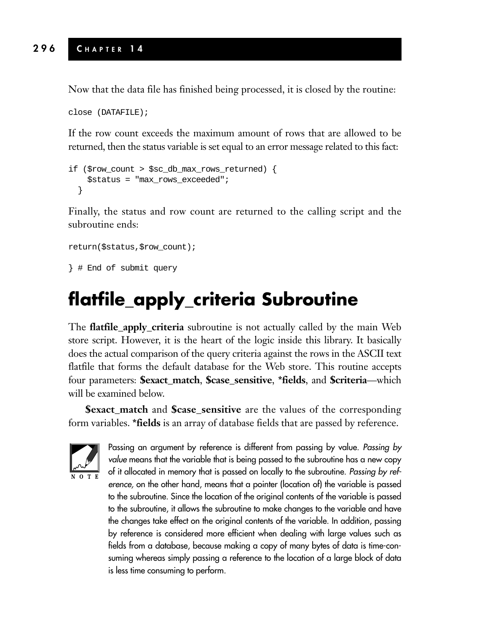Now that the data file has finished being processed, it is closed by the routine:

```
close (DATAFILE);
```
If the row count exceeds the maximum amount of rows that are allowed to be returned, then the status variable is set equal to an error message related to this fact:

```
if ($row_count > $sc_db_max_rows_returned) {
    $status = "max_rows_exceeded";
  }
```
Finally, the status and row count are returned to the calling script and the subroutine ends:

```
return($status,$row_count);
```

```
} # End of submit query
```
## **flatfile\_apply\_criteria Subroutine**

The **flatfile\_apply\_criteria** subroutine is not actually called by the main Web store script. However, it is the heart of the logic inside this library. It basically does the actual comparison of the query criteria against the rows in the ASCII text flatfile that forms the default database for the Web store. This routine accepts four parameters: **\$exact\_match**, **\$case\_sensitive**, **\*fields**, and **\$criteria**—which will be examined below.

**\$exact\_match** and **\$case\_sensitive** are the values of the corresponding form variables. **\*fields** is an array of database fields that are passed by reference.



Passing an argument by reference is different from passing by value. *Passing by value* means that the variable that is being passed to the subroutine has a new copy of it allocated in memory that is passed on locally to the subroutine. *Passing by reference,* on the other hand, means that a pointer (location of) the variable is passed to the subroutine. Since the location of the original contents of the variable is passed to the subroutine, it allows the subroutine to make changes to the variable and have the changes take effect on the original contents of the variable. In addition, passing by reference is considered more efficient when dealing with large values such as fields from a database, because making a copy of many bytes of data is time-consuming whereas simply passing a reference to the location of a large block of data is less time consuming to perform.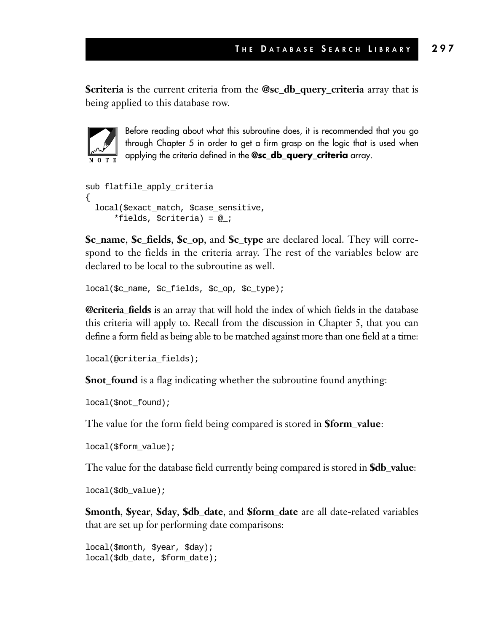**\$criteria** is the current criteria from the **@sc\_db\_query\_criteria** array that is being applied to this database row.



Before reading about what this subroutine does, it is recommended that you go through Chapter 5 in order to get a firm grasp on the logic that is used when applying the criteria defined in the **@sc\_db\_query\_criteria** array.

```
sub flatfile_apply_criteria
{
  local($exact_match, $case_sensitive,
      *fields, $criteria) = @_;
```
**\$c\_name**, **\$c\_fields**, **\$c\_op**, and **\$c\_type** are declared local. They will correspond to the fields in the criteria array. The rest of the variables below are declared to be local to the subroutine as well.

```
local($c_name, $c_fields, $c_op, $c_type);
```
**@criteria\_fields** is an array that will hold the index of which fields in the database this criteria will apply to. Recall from the discussion in Chapter 5, that you can define a form field as being able to be matched against more than one field at a time:

```
local(@criteria_fields);
```
**\$not\_found** is a flag indicating whether the subroutine found anything:

```
local($not_found);
```
The value for the form field being compared is stored in **\$form\_value**:

```
local($form_value);
```
The value for the database field currently being compared is stored in **\$db\_value**:

```
local($db_value);
```
**\$month**, **\$year**, **\$day**, **\$db\_date**, and **\$form\_date** are all date-related variables that are set up for performing date comparisons:

```
local($month, $year, $day);
local($db_date, $form_date);
```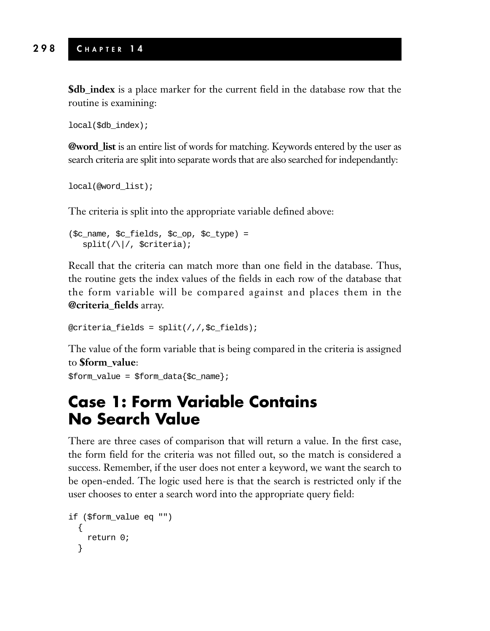**\$db\_index** is a place marker for the current field in the database row that the routine is examining:

```
local($db_index);
```
**@word\_list** is an entire list of words for matching. Keywords entered by the user as search criteria are split into separate words that are also searched for independantly:

```
local(@word_list);
```
The criteria is split into the appropriate variable defined above:

```
($c_name, $c_fields, $c_op, $c_type) =
  split//, $critical;
```
Recall that the criteria can match more than one field in the database. Thus, the routine gets the index values of the fields in each row of the database that the form variable will be compared against and places them in the **@criteria\_fields** array.

```
@criteria fields = split://f.c fields);
```
The value of the form variable that is being compared in the criteria is assigned to **\$form\_value**:

```
$form_value = $form_data{$c_name};
```
### **Case 1: Form Variable Contains No Search Value**

There are three cases of comparison that will return a value. In the first case, the form field for the criteria was not filled out, so the match is considered a success. Remember, if the user does not enter a keyword, we want the search to be open-ended. The logic used here is that the search is restricted only if the user chooses to enter a search word into the appropriate query field:

```
if ($form_value eq "")
  {
    return 0;
  }
```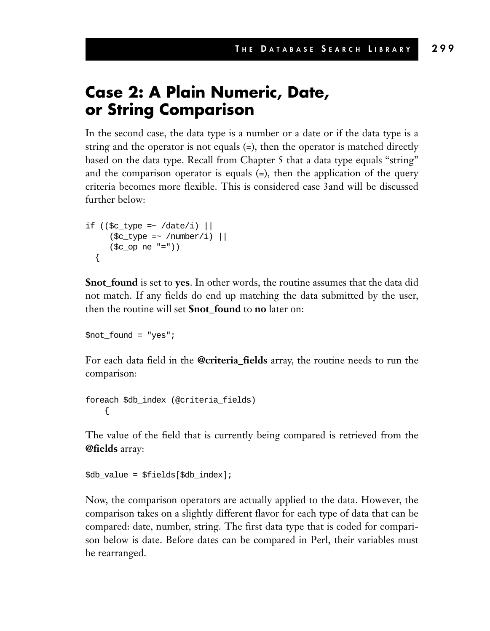#### **Case 2: A Plain Numeric, Date, or String Comparison**

In the second case, the data type is a number or a date or if the data type is a string and the operator is not equals (=), then the operator is matched directly based on the data type. Recall from Chapter 5 that a data type equals "string" and the comparison operator is equals  $(=)$ , then the application of the query criteria becomes more flexible. This is considered case 3and will be discussed further below:

```
if ((\text{sc_type} = \text{~}/\text{date}/i)|
        (\text{sc\_type} = \sim / \text{number/i}) |
        (Sc op ne "="))
   {
```
**\$not\_found** is set to **yes**. In other words, the routine assumes that the data did not match. If any fields do end up matching the data submitted by the user, then the routine will set **\$not\_found** to **no** later on:

\$not\_found = "yes";

For each data field in the **@criteria\_fields** array, the routine needs to run the comparison:

foreach \$db\_index (@criteria\_fields) {

The value of the field that is currently being compared is retrieved from the **@fields** array:

```
$db_value = $fields[$db_index];
```
Now, the comparison operators are actually applied to the data. However, the comparison takes on a slightly different flavor for each type of data that can be compared: date, number, string. The first data type that is coded for comparison below is date. Before dates can be compared in Perl, their variables must be rearranged.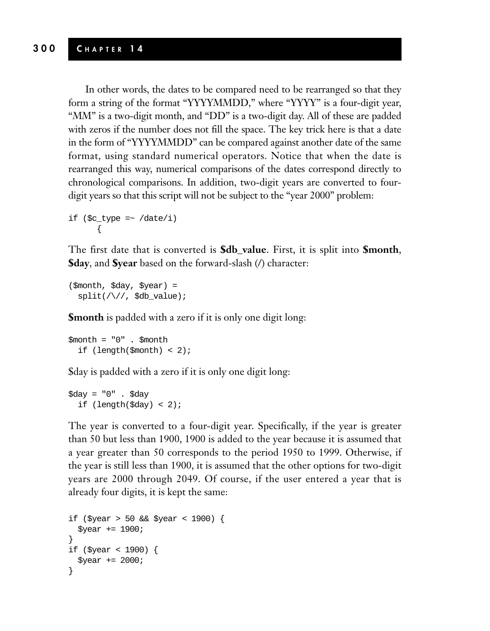In other words, the dates to be compared need to be rearranged so that they form a string of the format "YYYYMMDD," where "YYYY" is a four-digit year, "MM" is a two-digit month, and "DD" is a two-digit day. All of these are padded with zeros if the number does not fill the space. The key trick here is that a date in the form of "YYYYMMDD" can be compared against another date of the same format, using standard numerical operators. Notice that when the date is rearranged this way, numerical comparisons of the dates correspond directly to chronological comparisons. In addition, two-digit years are converted to fourdigit years so that this script will not be subject to the "year 2000" problem:

```
if (Sc_type = ~ /date/i){
```
The first date that is converted is **\$db\_value**. First, it is split into **\$month**, **\$day**, and **\$year** based on the forward-slash (/) character:

```
($month, $day, $year) =
 split///, $db_value);
```
**\$month** is padded with a zero if it is only one digit long:

```
$month = "0" . $month
  if (length($month) < 2);
```
\$day is padded with a zero if it is only one digit long:

 $\dagger$ day = "0" .  $\dagger$ day if  $(lenath(\text{day}) < 2)$ ;

The year is converted to a four-digit year. Specifically, if the year is greater than 50 but less than 1900, 1900 is added to the year because it is assumed that a year greater than 50 corresponds to the period 1950 to 1999. Otherwise, if the year is still less than 1900, it is assumed that the other options for two-digit years are 2000 through 2049. Of course, if the user entered a year that is already four digits, it is kept the same:

```
if ($year > 50 && $year < 1900) {
 $year += 1900;
}
if ($year < 1900) {
 $year += 2000;
}
```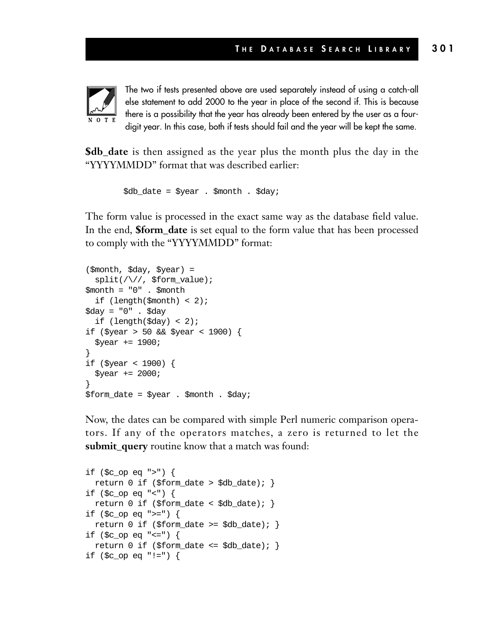

The two if tests presented above are used separately instead of using a catch-all else statement to add 2000 to the year in place of the second if. This is because there is a possibility that the year has already been entered by the user as a fourdigit year. In this case, both if tests should fail and the year will be kept the same.

**\$db\_date** is then assigned as the year plus the month plus the day in the "YYYYMMDD" format that was described earlier:

```
$db_date = $year . $month . $day;
```
The form value is processed in the exact same way as the database field value. In the end, **\$form\_date** is set equal to the form value that has been processed to comply with the "YYYYMMDD" format:

```
($month, $day, $year) =
 split(/\//, $form_value);
$month = "0" . $month
 if (length($month) < 2);
$day = "0" . $day
 if (length(Sday) < 2);
if ($year > 50 && $year < 1900) {
 $year += 1900;
}
if ($year < 1900) {
 $year += 2000;
}
$form date = $year . $month . $day;
```
Now, the dates can be compared with simple Perl numeric comparison operators. If any of the operators matches, a zero is returned to let the **submit\_query** routine know that a match was found:

```
if ($c_op eq ">") {
 return 0 if ($form_date > $db_date); }
if ($c_op eq "<") {
 return 0 if ($form_date < $db_date); \}if ($c_op eq ">=") {
 return 0 if ($form_date >= $db_date); }if ($c_op eq "<=") {
 return 0 if ($form_date <= $db_date); }
if ($c_op eq "!=") {
```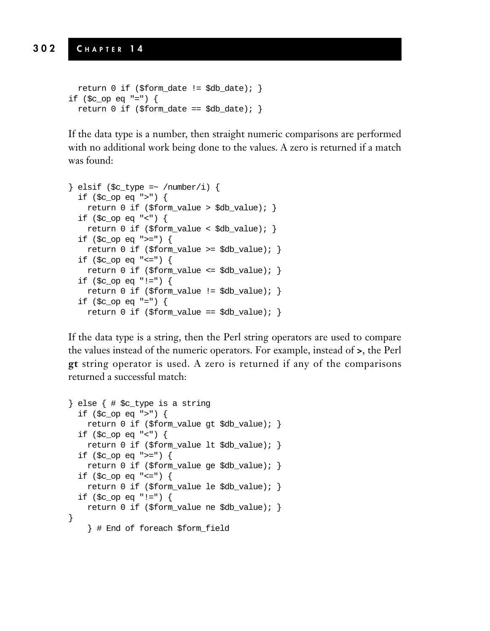```
return 0 if ($form_date != $db_date); }
if ($c_op eq "=") {
 return 0 if ($form\_date == $db\_date; }
```
If the data type is a number, then straight numeric comparisons are performed with no additional work being done to the values. A zero is returned if a match was found:

```
} elsif ($c_type =~ /number/i) {
  if ($c_op eq ">") {
    return 0 if ($form_value > $db_value); }
 if ($c_op eq "<") {
    return 0 if ($form_value < $db_value); \}if (\text{Sc} op eq ">=") {
    return 0 if ($form_value >= $db_value); \}if (<math>\sec</math> op eq "<=") {return 0 if ($form_value <= $db_value); }
  if ($c_op eq "!=") {
    return 0 if ($form_value != $db_value); }
  if ($c_op eq "=") {
    return 0 if ($form_value == $db_value);
```
If the data type is a string, then the Perl string operators are used to compare the values instead of the numeric operators. For example, instead of **>**, the Perl **gt** string operator is used. A zero is returned if any of the comparisons returned a successful match:

```
} else { # $c_type is a string
  if ($c_op eq ">") {
   return 0 if ($form_value gt $db_value); }
  if (\text{sc\_op eq} "<") {
   return 0 if ($form_value lt $db_value); }
  if ($c_op eq ">=") {
   return 0 if ($form_value ge $db_value); }
  if ($c_op eq "<=") {
   return 0 if ($form_value le $db_value); }
 if ($c_op eq "!=") {
   return 0 if ($form_value ne $db_value); }
} 
    } # End of foreach $form_field
```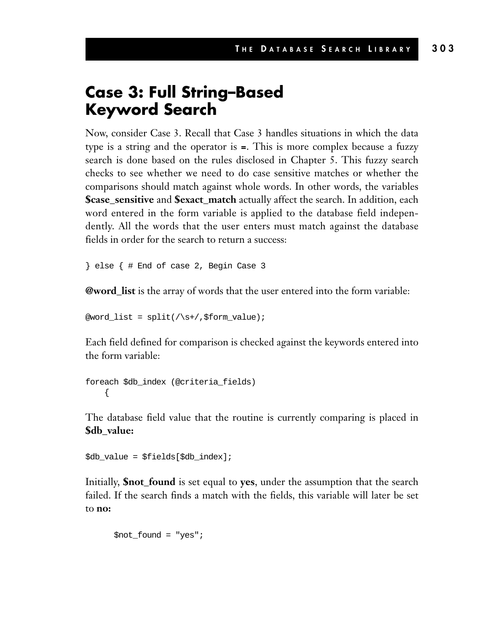#### **Case 3: Full String–Based Keyword Search**

Now, consider Case 3. Recall that Case 3 handles situations in which the data type is a string and the operator is **=**. This is more complex because a fuzzy search is done based on the rules disclosed in Chapter 5. This fuzzy search checks to see whether we need to do case sensitive matches or whether the comparisons should match against whole words. In other words, the variables **\$case\_sensitive** and **\$exact\_match** actually affect the search. In addition, each word entered in the form variable is applied to the database field independently. All the words that the user enters must match against the database fields in order for the search to return a success:

} else { # End of case 2, Begin Case 3

**@word\_list** is the array of words that the user entered into the form variable:

 $@word_list = split//s+/, $form_value);$ 

Each field defined for comparison is checked against the keywords entered into the form variable:

```
foreach $db_index (@criteria_fields)
    {
```
The database field value that the routine is currently comparing is placed in **\$db\_value:**

```
$db_value = $fields[$db_index];
```
Initially, **\$not\_found** is set equal to **yes**, under the assumption that the search failed. If the search finds a match with the fields, this variable will later be set to **no:**

\$not\_found = "yes";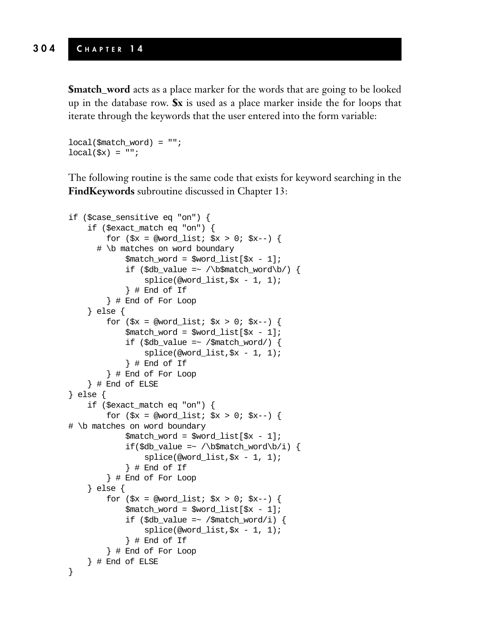**\$match\_word** acts as a place marker for the words that are going to be looked up in the database row. **\$x** is used as a place marker inside the for loops that iterate through the keywords that the user entered into the form variable:

```
local(\text{Smatch word}) = "";local(\$x) = "";
```
The following routine is the same code that exists for keyword searching in the **FindKeywords** subroutine discussed in Chapter 13:

```
if ($case_sensitive eq "on") {
    if ($exact_match eq "on") {
         for (\$x = @word_list; \$x > 0; \$x--) {
       # \b matches on word boundary
              $match_word = $word_list[$x - 1];if ($db_value =~ /\b$match_word\b/) {
                   splice(@word_list,$x - 1, 1);
               } # End of If
         } # End of For Loop
     } else {
         for (\frac{5}{x} = \text{eword\_list}; \frac{5}{x} > 0; \frac{5}{x} -)$match_word = $word_list[$x - 1];if (\frac{\alpha}{2}d_{\alpha})\cdot \frac{\alpha}{2} = \frac{1}{2} / \frac{\alpha}{2} / \frac{\alpha}{2}splice(@word_list,$x - 1, 1);
               } # End of If
          } # End of For Loop
     } # End of ELSE
} else {
    if ($exact_match eq "on") {
         for (\frac{5}{x} = \text{eword\_list}; \frac{5}{x} > 0; \frac{5}{x} - ) {
# \b matches on word boundary
              $match_word = $word_list[$x - 1];
              if(\daggerdb_value =~ /\b$match_word\b/i) {
                   splice(@word_list,$x - 1, 1);
               } # End of If 
          } # End of For Loop
     } else {
         for (\frac{5}{x} = \text{eword\_list}; \frac{5}{x} > 0; \frac{5}{x} - ) {
              $match_word = $word_list[$x - 1];if ($db_value =~ /$match_word/i) {
                   splice(@word_list,$x - 1, 1);
               } # End of If
          } # End of For Loop
     } # End of ELSE
}
```